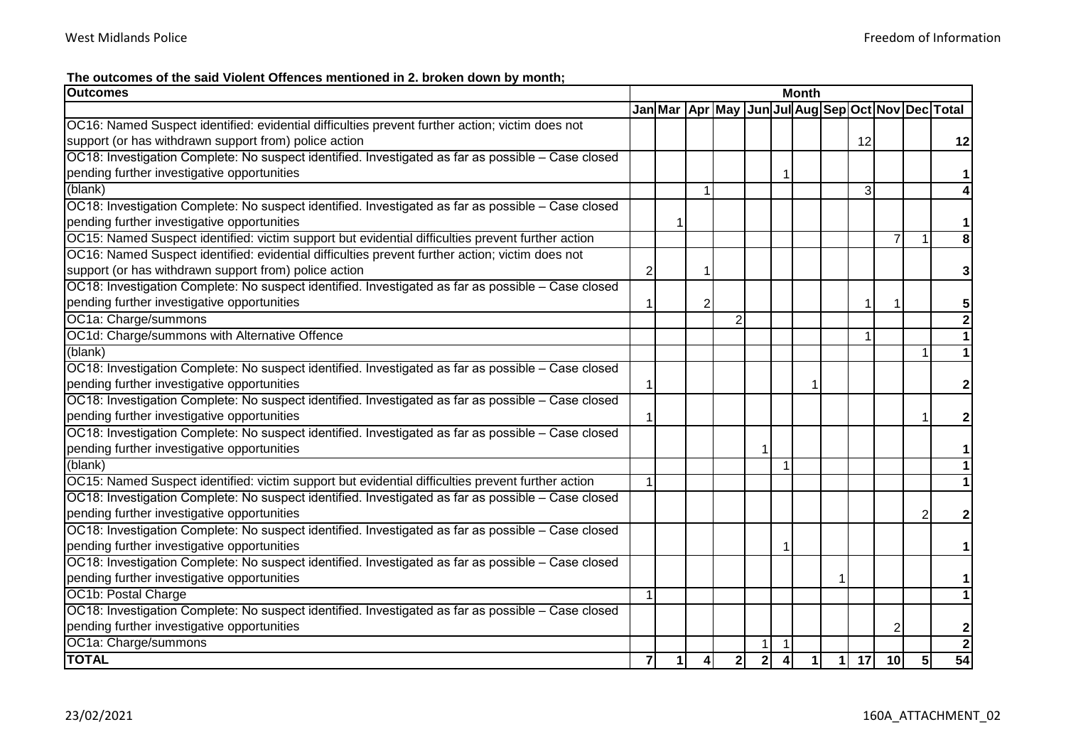**The outcomes of the said Violent Offences mentioned in 2. broken down by month;**

| <b>Outcomes</b>                                                                                    | <b>Month</b>   |  |               |                |                |                         |  |              |    |                 |   |                                                                   |
|----------------------------------------------------------------------------------------------------|----------------|--|---------------|----------------|----------------|-------------------------|--|--------------|----|-----------------|---|-------------------------------------------------------------------|
|                                                                                                    |                |  |               |                |                |                         |  |              |    |                 |   | Jan Mar   Apr   May   Jun   Jul Aug Sep   Oct   Nov   Dec   Total |
| OC16: Named Suspect identified: evidential difficulties prevent further action; victim does not    |                |  |               |                |                |                         |  |              |    |                 |   |                                                                   |
| support (or has withdrawn support from) police action                                              |                |  |               |                |                |                         |  |              | 12 |                 |   | 12                                                                |
| OC18: Investigation Complete: No suspect identified. Investigated as far as possible - Case closed |                |  |               |                |                |                         |  |              |    |                 |   |                                                                   |
| pending further investigative opportunities                                                        |                |  |               |                |                |                         |  |              |    |                 |   | 1                                                                 |
| (blank)                                                                                            |                |  |               |                |                |                         |  |              | 3  |                 |   |                                                                   |
| OC18: Investigation Complete: No suspect identified. Investigated as far as possible - Case closed |                |  |               |                |                |                         |  |              |    |                 |   |                                                                   |
| pending further investigative opportunities                                                        |                |  |               |                |                |                         |  |              |    |                 |   | 1                                                                 |
| OC15: Named Suspect identified: victim support but evidential difficulties prevent further action  |                |  |               |                |                |                         |  |              |    | 7               |   | $\overline{\mathbf{8}}$                                           |
| OC16: Named Suspect identified: evidential difficulties prevent further action; victim does not    |                |  |               |                |                |                         |  |              |    |                 |   |                                                                   |
| support (or has withdrawn support from) police action                                              | $\overline{2}$ |  |               |                |                |                         |  |              |    |                 |   | 3                                                                 |
| OC18: Investigation Complete: No suspect identified. Investigated as far as possible - Case closed |                |  |               |                |                |                         |  |              |    |                 |   |                                                                   |
| pending further investigative opportunities                                                        | 1              |  | 2             |                |                |                         |  |              | 1  |                 |   | 5                                                                 |
| OC1a: Charge/summons                                                                               |                |  |               | $\overline{2}$ |                |                         |  |              |    |                 |   | $\overline{2}$                                                    |
| OC1d: Charge/summons with Alternative Offence                                                      |                |  |               |                |                |                         |  |              | 1  |                 |   | 1                                                                 |
| (blank)                                                                                            |                |  |               |                |                |                         |  |              |    |                 |   | $\overline{1}$                                                    |
| OC18: Investigation Complete: No suspect identified. Investigated as far as possible - Case closed |                |  |               |                |                |                         |  |              |    |                 |   |                                                                   |
| pending further investigative opportunities                                                        |                |  |               |                |                |                         |  |              |    |                 |   | $\mathbf{2}$                                                      |
| OC18: Investigation Complete: No suspect identified. Investigated as far as possible - Case closed |                |  |               |                |                |                         |  |              |    |                 |   |                                                                   |
| pending further investigative opportunities                                                        | 1              |  |               |                |                |                         |  |              |    |                 |   | 2                                                                 |
| OC18: Investigation Complete: No suspect identified. Investigated as far as possible - Case closed |                |  |               |                |                |                         |  |              |    |                 |   |                                                                   |
| pending further investigative opportunities                                                        |                |  |               |                |                |                         |  |              |    |                 |   |                                                                   |
| (blank)                                                                                            |                |  |               |                |                | $\overline{1}$          |  |              |    |                 |   | 1                                                                 |
| OC15: Named Suspect identified: victim support but evidential difficulties prevent further action  |                |  |               |                |                |                         |  |              |    |                 |   |                                                                   |
| OC18: Investigation Complete: No suspect identified. Investigated as far as possible - Case closed |                |  |               |                |                |                         |  |              |    |                 |   |                                                                   |
| pending further investigative opportunities                                                        |                |  |               |                |                |                         |  |              |    |                 | 2 | 2                                                                 |
| OC18: Investigation Complete: No suspect identified. Investigated as far as possible - Case closed |                |  |               |                |                |                         |  |              |    |                 |   |                                                                   |
| pending further investigative opportunities                                                        |                |  |               |                |                |                         |  |              |    |                 |   | 1                                                                 |
| OC18: Investigation Complete: No suspect identified. Investigated as far as possible - Case closed |                |  |               |                |                |                         |  |              |    |                 |   |                                                                   |
| pending further investigative opportunities                                                        |                |  |               |                |                |                         |  |              |    |                 |   | 1                                                                 |
| OC1b: Postal Charge                                                                                | $\mathbf{1}$   |  |               |                |                |                         |  |              |    |                 |   | $\overline{1}$                                                    |
| OC18: Investigation Complete: No suspect identified. Investigated as far as possible - Case closed |                |  |               |                |                |                         |  |              |    |                 |   |                                                                   |
| pending further investigative opportunities                                                        |                |  |               |                |                |                         |  |              |    |                 |   | 2                                                                 |
| OC1a: Charge/summons                                                                               |                |  |               |                |                |                         |  |              |    |                 |   | $\overline{\mathbf{2}}$                                           |
| <b>TOTAL</b>                                                                                       | $\mathbf{z}$   |  | $\frac{4}{ }$ | $\mathbf{2}$   | 2 <sup>1</sup> | $\overline{\mathbf{4}}$ |  | $\mathbf{1}$ | 17 | 10 <sup>1</sup> | 5 | $\overline{54}$                                                   |